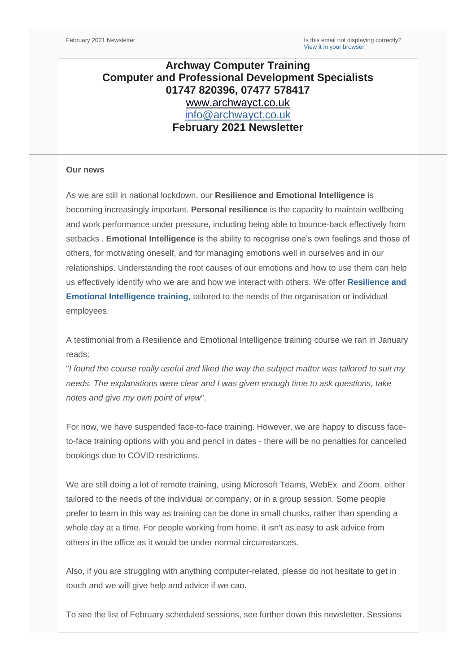# **Archway Computer Training Computer and Professional Development Specialists 01747 820396, 07477 578417** [www.archwayct.co.uk](http://www.archwayct.co.uk/) [info@archwayct.co.uk](mailto:%20info@archwayct.co.uk) **February 2021 Newsletter**

#### **Our news**

As we are still in national lockdown, our **Resilience and Emotional Intelligence** is becoming increasingly important. **Personal resilience** is the capacity to maintain wellbeing and work performance under pressure, including being able to bounce-back effectively from setbacks . **Emotional Intelligence** is the ability to recognise one's own feelings and those of others, for motivating oneself, and for managing emotions well in ourselves and in our relationships. Understanding the root causes of our emotions and how to use them can help us effectively identify who we are and how we interact with others. We offer **[Resilience and](http://www.archwayct.co.uk/professional-development-training/resilience-and-emotional-intelligence-training)  [Emotional Intelligence training](http://www.archwayct.co.uk/professional-development-training/resilience-and-emotional-intelligence-training)**, tailored to the needs of the organisation or individual employees.

A testimonial from a Resilience and Emotional Intelligence training course we ran in January reads:

"*I found the course really useful and liked the way the subject matter was tailored to suit my needs. The explanations were clear and I was given enough time to ask questions, take notes and give my own point of view*".

For now, we have suspended face-to-face training. However, we are happy to discuss faceto-face training options with you and pencil in dates - there will be no penalties for cancelled bookings due to COVID restrictions.

We are still doing a lot of remote training, using Microsoft Teams, WebEx and Zoom, either tailored to the needs of the individual or company, or in a group session. Some people prefer to learn in this way as training can be done in small chunks, rather than spending a whole day at a time. For people working from home, it isn't as easy to ask advice from others in the office as it would be under normal circumstances.

Also, if you are struggling with anything computer-related, please do not hesitate to get in touch and we will give help and advice if we can.

To see the list of February scheduled sessions, see further down this newsletter. Sessions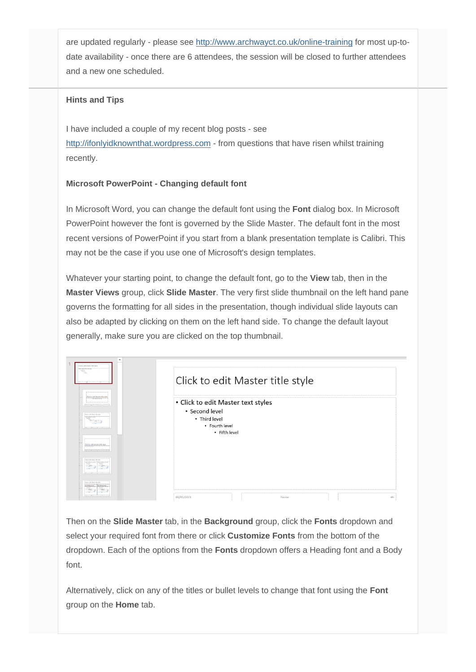are updated regularly - please see<http://www.archwayct.co.uk/online-training> for most up-todate availability - once there are 6 attendees, the session will be closed to further attendees and a new one scheduled.

## **Hints and Tips**

I have included a couple of my recent blog posts - see [http://ifonlyidknownthat.wordpress.com](http://ifonlyidknownthat.wordpress.com/) - from questions that have risen whilst training recently.

## **Microsoft PowerPoint - Changing default font**

In Microsoft Word, you can change the default font using the **Font** dialog box. In Microsoft PowerPoint however the font is governed by the Slide Master. The default font in the most recent versions of PowerPoint if you start from a blank presentation template is Calibri. This may not be the case if you use one of Microsoft's design templates.

Whatever your starting point, to change the default font, go to the **View** tab, then in the **Master Views** group, click **Slide Master**. The very first slide thumbnail on the left hand pane governs the formatting for all sides in the presentation, though individual slide layouts can also be adapted by clicking on them on the left hand side. To change the default layout generally, make sure you are clicked on the top thumbnail.

| ▲<br>Tick to edit Master 1894 (tyle)<br>ng utamanayay ag<br>÷                                                                        | Click to edit Master title style                                                                         |        |         |
|--------------------------------------------------------------------------------------------------------------------------------------|----------------------------------------------------------------------------------------------------------|--------|---------|
| Click to edit Master title style<br><b>THE EXPERIMENT SAY</b><br>Click to said Master Mile style<br>Click to roll Master title style | • Click to edit Master text styles<br>• Second level<br>• Third level<br>• Fourth level<br>• Fifth level |        |         |
| Click to sale Mader Microsoft<br>1704 For additional state and                                                                       |                                                                                                          |        |         |
| 78c<br>Tibe                                                                                                                          | 06/01/2021                                                                                               | Footer | $<$ $#$ |

Then on the **Slide Master** tab, in the **Background** group, click the **Fonts** dropdown and select your required font from there or click **Customize Fonts** from the bottom of the dropdown. Each of the options from the **Fonts** dropdown offers a Heading font and a Body font.

Alternatively, click on any of the titles or bullet levels to change that font using the **Font**  group on the **Home** tab.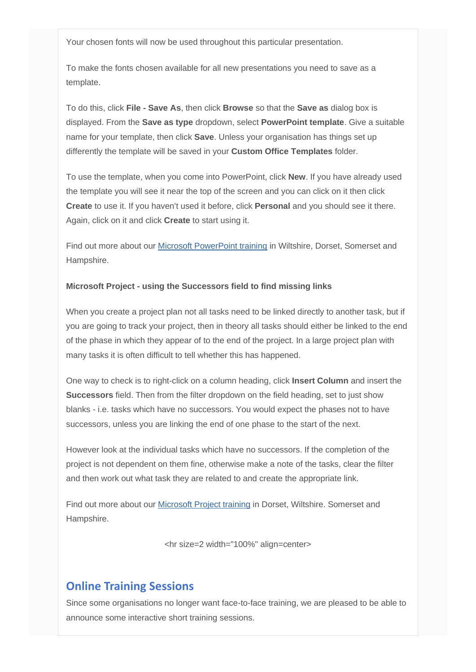Your chosen fonts will now be used throughout this particular presentation.

To make the fonts chosen available for all new presentations you need to save as a template.

To do this, click **File - Save As**, then click **Browse** so that the **Save as** dialog box is displayed. From the **Save as type** dropdown, select **PowerPoint template**. Give a suitable name for your template, then click **Save**. Unless your organisation has things set up differently the template will be saved in your **Custom Office Templates** folder.

To use the template, when you come into PowerPoint, click **New**. If you have already used the template you will see it near the top of the screen and you can click on it then click **Create** to use it. If you haven't used it before, click **Personal** and you should see it there. Again, click on it and click **Create** to start using it.

Find out more about our [Microsoft PowerPoint training](http://www.archwayct.co.uk/microsoft-office-training/microsoft-powerpoint-training) in Wiltshire, Dorset, Somerset and Hampshire.

### **Microsoft Project - using the Successors field to find missing links**

When you create a project plan not all tasks need to be linked directly to another task, but if you are going to track your project, then in theory all tasks should either be linked to the end of the phase in which they appear of to the end of the project. In a large project plan with many tasks it is often difficult to tell whether this has happened.

One way to check is to right-click on a column heading, click **Insert Column** and insert the **Successors** field. Then from the filter dropdown on the field heading, set to just show blanks - i.e. tasks which have no successors. You would expect the phases not to have successors, unless you are linking the end of one phase to the start of the next.

However look at the individual tasks which have no successors. If the completion of the project is not dependent on them fine, otherwise make a note of the tasks, clear the filter and then work out what task they are related to and create the appropriate link.

Find out more about our [Microsoft Project training](http://www.archwayct.co.uk/it-training/microsoft-project-training) in Dorset, Wiltshire. Somerset and Hampshire.

<hr size=2 width="100%" align=center>

# **Online Training Sessions**

Since some organisations no longer want face-to-face training, we are pleased to be able to announce some interactive short training sessions.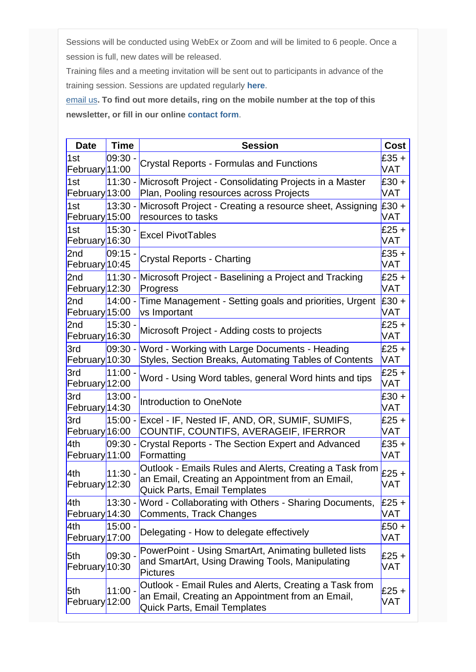Sessions will be conducted using WebEx or Zoom and will be limited to 6 people. Once a session is full, new dates will be released.

Training files and a meeting invitation will be sent out to participants in advance of the training session. Sessions are updated regularly **[here](http://www.archwayct.co.uk/online-training)**.

[email us](mailto:jdonbavand@btinternet.com?subject=Online%20training)**. To find out more details, ring on the mobile number at the top of this newsletter, or fill in our online [contact form](http://www.archwayct.co.uk/contact)**.

| <b>Date</b>                      | <b>Time</b> | <b>Session</b>                                                                                                                                     | <b>Cost</b>    |
|----------------------------------|-------------|----------------------------------------------------------------------------------------------------------------------------------------------------|----------------|
| 1st<br>February <sup>11:00</sup> | 09:30.      | <b>Crystal Reports - Formulas and Functions</b>                                                                                                    | £35 +<br>VAT   |
| 1st<br>February <sup>13:00</sup> |             | 11:30 - Microsoft Project - Consolidating Projects in a Master<br>Plan, Pooling resources across Projects                                          | $£30 +$<br>VAT |
| 1st<br>February 15:00            | $13:30 -$   | Microsoft Project - Creating a resource sheet, Assigning<br>resources to tasks                                                                     | $£30 +$<br>VAT |
| 1st<br>February <sup>16:30</sup> | $15:30 -$   | <b>Excel PivotTables</b>                                                                                                                           | $£25 +$<br>VAT |
| 2nd<br>February <sup>10:45</sup> | $09:15 -$   | <b>Crystal Reports - Charting</b>                                                                                                                  | $£35 +$<br>VAT |
| 2nd<br>February <sup>12:30</sup> | $11:30 -$   | Microsoft Project - Baselining a Project and Tracking<br>Progress                                                                                  | $£25 +$<br>VAT |
| 2nd<br>February <sup>15:00</sup> | $14:00 -$   | Time Management - Setting goals and priorities, Urgent<br>vs Important                                                                             | $£30 +$<br>VAT |
| 2nd<br>February <sup>16:30</sup> | $15:30 -$   | Microsoft Project - Adding costs to projects                                                                                                       | £25 $+$<br>VAT |
| 3rd<br>February <sup>10:30</sup> | $09:30 -$   | Word - Working with Large Documents - Heading<br>Styles, Section Breaks, Automating Tables of Contents                                             | $£25 +$<br>VAT |
| 3rd<br>February <sup>12:00</sup> | $11:00 -$   | Word - Using Word tables, general Word hints and tips                                                                                              | $£25 +$<br>VAT |
| 3rd<br>February <sup>14:30</sup> | $13:00 -$   | Introduction to OneNote                                                                                                                            | $£30 +$<br>VAT |
| 3rd<br>February <sup>16:00</sup> | $15:00 -$   | Excel - IF, Nested IF, AND, OR, SUMIF, SUMIFS,<br>COUNTIF, COUNTIFS, AVERAGEIF, IFERROR                                                            | £25 +<br>VAT   |
| 4th<br>February <sup>11:00</sup> | 09:30 -     | Crystal Reports - The Section Expert and Advanced<br>Formatting                                                                                    | $£35 +$<br>VAT |
| 4th<br>February <sup>12:30</sup> | $11:30 -$   | Outlook - Emails Rules and Alerts, Creating a Task from<br>an Email, Creating an Appointment from an Email,<br><b>Quick Parts, Email Templates</b> | £25 $+$<br>VAT |
| 4th<br>February <sup>14:30</sup> |             | 13:30 - Word - Collaborating with Others - Sharing Documents,<br>Comments, Track Changes                                                           | $E25 +$<br>VAT |
| 4th<br>February <sup>17:00</sup> | $15:00 -$   | Delegating - How to delegate effectively                                                                                                           | $£50 +$<br>VAT |
| 5th<br>February <sup>10:30</sup> | 09:30 -     | PowerPoint - Using SmartArt, Animating bulleted lists<br>and SmartArt, Using Drawing Tools, Manipulating<br><b>Pictures</b>                        | £25 +<br>VAT   |
| 5th<br>February <sup>12:00</sup> | $11:00 -$   | Outlook - Email Rules and Alerts, Creating a Task from<br>an Email, Creating an Appointment from an Email,<br><b>Quick Parts, Email Templates</b>  | $£25 +$<br>VAT |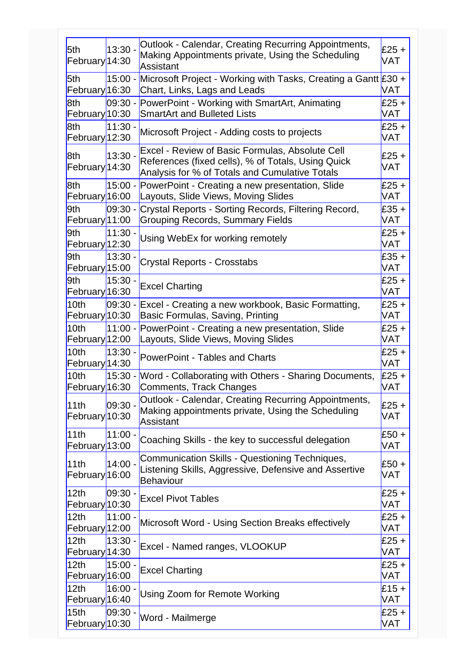| 5th<br>February <sup>14:30</sup>              | $13:30 -$  | Outlook - Calendar, Creating Recurring Appointments,<br>Making Appointments private, Using the Scheduling<br>Assistant                                  | £25 $+$<br>VAT |
|-----------------------------------------------|------------|---------------------------------------------------------------------------------------------------------------------------------------------------------|----------------|
| 5th<br>February <sup>16:30</sup>              | 15:00 -    | Microsoft Project - Working with Tasks, Creating a Gantt £30 +<br>Chart, Links, Lags and Leads                                                          | VAT            |
| 8th<br>February <sup>10:30</sup>              | $ 09:30 -$ | PowerPoint - Working with SmartArt, Animating<br><b>SmartArt and Bulleted Lists</b>                                                                     | £25 +<br>VAT   |
| 8th<br>February <sup>12:30</sup>              | 11:30 -    | Microsoft Project - Adding costs to projects                                                                                                            | £25 +<br>VAT   |
| 8th<br>February <sup>14:30</sup>              | $13:30 -$  | Excel - Review of Basic Formulas, Absolute Cell<br>References (fixed cells), % of Totals, Using Quick<br>Analysis for % of Totals and Cumulative Totals | £25 $+$<br>VAT |
| 8th<br>February <sup>16:00</sup>              | 15:00 -    | PowerPoint - Creating a new presentation, Slide<br>Layouts, Slide Views, Moving Slides                                                                  | $£25 +$<br>VAT |
| 9th<br>February <sup>11:00</sup>              | $ 09:30 -$ | Crystal Reports - Sorting Records, Filtering Record,<br><b>Grouping Records, Summary Fields</b>                                                         | £35 +<br>VAT   |
| 9th<br>February <sup>12:30</sup>              | $11:30 -$  | Using WebEx for working remotely                                                                                                                        | £25 +<br>VAT   |
| 9th<br>February <sup>15:00</sup>              | $13:30 -$  | <b>Crystal Reports - Crosstabs</b>                                                                                                                      | $E35 +$<br>VAT |
| 9th<br>February <sup>16:30</sup>              | $15:30 -$  | <b>Excel Charting</b>                                                                                                                                   | £25 $+$<br>VAT |
| 10 <sub>th</sub><br>February <sup>10:30</sup> | $ 09:30 -$ | Excel - Creating a new workbook, Basic Formatting,<br>Basic Formulas, Saving, Printing                                                                  | £25 +<br>VAT   |
| 10 <sub>th</sub><br>February <sup>12:00</sup> | $11:00 -$  | PowerPoint - Creating a new presentation, Slide<br>Layouts, Slide Views, Moving Slides                                                                  | £25 +<br>VAT   |
| 10 <sub>th</sub><br>February <sup>14:30</sup> | $13:30 -$  | <b>PowerPoint - Tables and Charts</b>                                                                                                                   | £25 $+$<br>VAT |
| 10 <sub>th</sub><br>February <sup>16:30</sup> | $15:30 -$  | Word - Collaborating with Others - Sharing Documents,<br>Comments, Track Changes                                                                        | $£25 +$<br>VAT |
| 11th<br>February <sup>10:30</sup>             | 09:30 -    | Outlook - Calendar, Creating Recurring Appointments,<br>Making appointments private, Using the Scheduling<br>Assistant                                  | £25 $+$<br>VAT |
| 11th<br>February <sup>13:00</sup>             | $11:00 -$  | Coaching Skills - the key to successful delegation                                                                                                      | $£50 +$<br>VAT |
| 11th<br>February <sup>16:00</sup>             | 14:00 -    | Communication Skills - Questioning Techniques,<br>Listening Skills, Aggressive, Defensive and Assertive<br>Behaviour                                    | $£50 +$<br>VAT |
| 12 <sub>th</sub><br>February <sup>10:30</sup> | $ 09:30 -$ | <b>Excel Pivot Tables</b>                                                                                                                               | $£25 +$<br>VAT |
| 12 <sub>th</sub><br>February <sup>12:00</sup> | 11:00.     | Microsoft Word - Using Section Breaks effectively                                                                                                       | $£25 +$<br>VAT |
| 12 <sub>th</sub><br>February <sup>14:30</sup> | 13:30 -    | Excel - Named ranges, VLOOKUP                                                                                                                           | $£25 +$<br>VAT |
| 12 <sub>th</sub><br>February <sup>16:00</sup> | $15:00 -$  | <b>Excel Charting</b>                                                                                                                                   | $£25 +$<br>VAT |
| 12 <sub>th</sub><br>February <sub>16:40</sub> | 16:00 -    | Using Zoom for Remote Working                                                                                                                           | $£15 +$<br>VAT |
| 15 <sub>th</sub><br>February <sup>10:30</sup> | $ 09:30 -$ | Word - Mailmerge                                                                                                                                        | $£25 +$<br>VAT |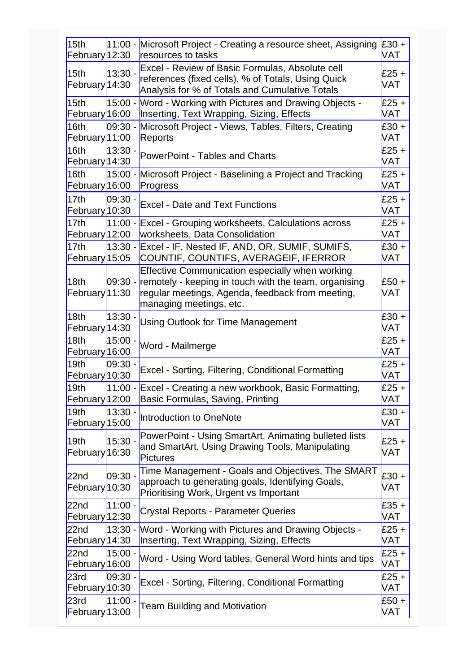| 11:00 - Microsoft Project - Creating a resource sheet, Assigning<br>15 <sub>th</sub><br>February <sup>12:30</sup><br>resources to tasks<br>Excel - Review of Basic Formulas, Absolute cell<br>$13:30 -$<br>15 <sub>th</sub><br>references (fixed cells), % of Totals, Using Quick<br>February <sup>14:30</sup><br>Analysis for % of Totals and Cumulative Totals<br>Word - Working with Pictures and Drawing Objects -<br>$15:00 -$<br>15 <sub>th</sub><br>February <sup>16:00</sup><br>Inserting, Text Wrapping, Sizing, Effects<br>$09:30 -$<br>Microsoft Project - Views, Tables, Filters, Creating<br>16th<br>February <sup>11:00</sup><br>Reports<br>$13:30 -$<br>16 <sub>th</sub><br><b>PowerPoint - Tables and Charts</b><br>February <sup>14:30</sup><br>16th<br>$15:00 -$<br>Microsoft Project - Baselining a Project and Tracking<br>February <sup>16:00</sup><br>Progress<br>17 <sub>th</sub><br>$09:30 -$<br><b>Excel - Date and Text Functions</b><br>February <sup>10:30</sup><br>$11:00 -$<br>17 <sub>th</sub><br><b>Excel - Grouping worksheets, Calculations across</b><br>February <sup>12:00</sup><br>worksheets, Data Consolidation<br>$13:30 -$<br>Excel - IF, Nested IF, AND, OR, SUMIF, SUMIFS,<br>17 <sub>th</sub><br>COUNTIF, COUNTIFS, AVERAGEIF, IFERROR<br>February <sup>15:05</sup><br>Effective Communication especially when working<br>remotely - keeping in touch with the team, organising<br>09:30 -<br>18 <sub>th</sub><br>February <sup>11:30</sup><br>regular meetings, Agenda, feedback from meeting,<br>managing meetings, etc.<br>18 <sub>th</sub><br>$13:30 -$<br><b>Using Outlook for Time Management</b><br>February <sup>14:30</sup><br>18 <sub>th</sub><br>$15:00 -$<br>Word - Mailmerge<br>February <sup>16:00</sup><br>19th<br>09:30 ·<br>Excel - Sorting, Filtering, Conditional Formatting<br>February <sup>10:30</sup> | $E30 +$<br>VAT<br>$£25 +$<br>VAT<br>$£25 +$<br><b>VAT</b><br>$£30 +$<br><b>VAT</b><br>$£25 +$<br>VAT<br>$£25 +$<br><b>VAT</b><br>$£25 +$<br><b>VAT</b><br>$£25 +$<br><b>VAT</b><br>$£30 +$<br><b>VAT</b><br>$£50 +$<br><b>VAT</b><br>$£30 +$<br>VAT |
|---------------------------------------------------------------------------------------------------------------------------------------------------------------------------------------------------------------------------------------------------------------------------------------------------------------------------------------------------------------------------------------------------------------------------------------------------------------------------------------------------------------------------------------------------------------------------------------------------------------------------------------------------------------------------------------------------------------------------------------------------------------------------------------------------------------------------------------------------------------------------------------------------------------------------------------------------------------------------------------------------------------------------------------------------------------------------------------------------------------------------------------------------------------------------------------------------------------------------------------------------------------------------------------------------------------------------------------------------------------------------------------------------------------------------------------------------------------------------------------------------------------------------------------------------------------------------------------------------------------------------------------------------------------------------------------------------------------------------------------------------------------------------------------------------------------------------------------------------------------------------|-----------------------------------------------------------------------------------------------------------------------------------------------------------------------------------------------------------------------------------------------------|
|                                                                                                                                                                                                                                                                                                                                                                                                                                                                                                                                                                                                                                                                                                                                                                                                                                                                                                                                                                                                                                                                                                                                                                                                                                                                                                                                                                                                                                                                                                                                                                                                                                                                                                                                                                                                                                                                           |                                                                                                                                                                                                                                                     |
|                                                                                                                                                                                                                                                                                                                                                                                                                                                                                                                                                                                                                                                                                                                                                                                                                                                                                                                                                                                                                                                                                                                                                                                                                                                                                                                                                                                                                                                                                                                                                                                                                                                                                                                                                                                                                                                                           |                                                                                                                                                                                                                                                     |
|                                                                                                                                                                                                                                                                                                                                                                                                                                                                                                                                                                                                                                                                                                                                                                                                                                                                                                                                                                                                                                                                                                                                                                                                                                                                                                                                                                                                                                                                                                                                                                                                                                                                                                                                                                                                                                                                           |                                                                                                                                                                                                                                                     |
|                                                                                                                                                                                                                                                                                                                                                                                                                                                                                                                                                                                                                                                                                                                                                                                                                                                                                                                                                                                                                                                                                                                                                                                                                                                                                                                                                                                                                                                                                                                                                                                                                                                                                                                                                                                                                                                                           |                                                                                                                                                                                                                                                     |
|                                                                                                                                                                                                                                                                                                                                                                                                                                                                                                                                                                                                                                                                                                                                                                                                                                                                                                                                                                                                                                                                                                                                                                                                                                                                                                                                                                                                                                                                                                                                                                                                                                                                                                                                                                                                                                                                           |                                                                                                                                                                                                                                                     |
|                                                                                                                                                                                                                                                                                                                                                                                                                                                                                                                                                                                                                                                                                                                                                                                                                                                                                                                                                                                                                                                                                                                                                                                                                                                                                                                                                                                                                                                                                                                                                                                                                                                                                                                                                                                                                                                                           |                                                                                                                                                                                                                                                     |
|                                                                                                                                                                                                                                                                                                                                                                                                                                                                                                                                                                                                                                                                                                                                                                                                                                                                                                                                                                                                                                                                                                                                                                                                                                                                                                                                                                                                                                                                                                                                                                                                                                                                                                                                                                                                                                                                           |                                                                                                                                                                                                                                                     |
|                                                                                                                                                                                                                                                                                                                                                                                                                                                                                                                                                                                                                                                                                                                                                                                                                                                                                                                                                                                                                                                                                                                                                                                                                                                                                                                                                                                                                                                                                                                                                                                                                                                                                                                                                                                                                                                                           |                                                                                                                                                                                                                                                     |
|                                                                                                                                                                                                                                                                                                                                                                                                                                                                                                                                                                                                                                                                                                                                                                                                                                                                                                                                                                                                                                                                                                                                                                                                                                                                                                                                                                                                                                                                                                                                                                                                                                                                                                                                                                                                                                                                           |                                                                                                                                                                                                                                                     |
|                                                                                                                                                                                                                                                                                                                                                                                                                                                                                                                                                                                                                                                                                                                                                                                                                                                                                                                                                                                                                                                                                                                                                                                                                                                                                                                                                                                                                                                                                                                                                                                                                                                                                                                                                                                                                                                                           |                                                                                                                                                                                                                                                     |
|                                                                                                                                                                                                                                                                                                                                                                                                                                                                                                                                                                                                                                                                                                                                                                                                                                                                                                                                                                                                                                                                                                                                                                                                                                                                                                                                                                                                                                                                                                                                                                                                                                                                                                                                                                                                                                                                           |                                                                                                                                                                                                                                                     |
|                                                                                                                                                                                                                                                                                                                                                                                                                                                                                                                                                                                                                                                                                                                                                                                                                                                                                                                                                                                                                                                                                                                                                                                                                                                                                                                                                                                                                                                                                                                                                                                                                                                                                                                                                                                                                                                                           |                                                                                                                                                                                                                                                     |
|                                                                                                                                                                                                                                                                                                                                                                                                                                                                                                                                                                                                                                                                                                                                                                                                                                                                                                                                                                                                                                                                                                                                                                                                                                                                                                                                                                                                                                                                                                                                                                                                                                                                                                                                                                                                                                                                           |                                                                                                                                                                                                                                                     |
|                                                                                                                                                                                                                                                                                                                                                                                                                                                                                                                                                                                                                                                                                                                                                                                                                                                                                                                                                                                                                                                                                                                                                                                                                                                                                                                                                                                                                                                                                                                                                                                                                                                                                                                                                                                                                                                                           |                                                                                                                                                                                                                                                     |
|                                                                                                                                                                                                                                                                                                                                                                                                                                                                                                                                                                                                                                                                                                                                                                                                                                                                                                                                                                                                                                                                                                                                                                                                                                                                                                                                                                                                                                                                                                                                                                                                                                                                                                                                                                                                                                                                           |                                                                                                                                                                                                                                                     |
|                                                                                                                                                                                                                                                                                                                                                                                                                                                                                                                                                                                                                                                                                                                                                                                                                                                                                                                                                                                                                                                                                                                                                                                                                                                                                                                                                                                                                                                                                                                                                                                                                                                                                                                                                                                                                                                                           |                                                                                                                                                                                                                                                     |
|                                                                                                                                                                                                                                                                                                                                                                                                                                                                                                                                                                                                                                                                                                                                                                                                                                                                                                                                                                                                                                                                                                                                                                                                                                                                                                                                                                                                                                                                                                                                                                                                                                                                                                                                                                                                                                                                           | $£25 +$<br><b>VAT</b>                                                                                                                                                                                                                               |
|                                                                                                                                                                                                                                                                                                                                                                                                                                                                                                                                                                                                                                                                                                                                                                                                                                                                                                                                                                                                                                                                                                                                                                                                                                                                                                                                                                                                                                                                                                                                                                                                                                                                                                                                                                                                                                                                           | $£25 +$<br><b>VAT</b>                                                                                                                                                                                                                               |
| 19th<br>11:00 - Excel - Creating a new workbook, Basic Formatting,<br>February <sup>12:00</sup><br>Basic Formulas, Saving, Printing                                                                                                                                                                                                                                                                                                                                                                                                                                                                                                                                                                                                                                                                                                                                                                                                                                                                                                                                                                                                                                                                                                                                                                                                                                                                                                                                                                                                                                                                                                                                                                                                                                                                                                                                       | $£25 +$<br><b>VAT</b>                                                                                                                                                                                                                               |
| $13:30 -$<br>19 <sub>th</sub><br>Introduction to OneNote<br>February <sup>15:00</sup>                                                                                                                                                                                                                                                                                                                                                                                                                                                                                                                                                                                                                                                                                                                                                                                                                                                                                                                                                                                                                                                                                                                                                                                                                                                                                                                                                                                                                                                                                                                                                                                                                                                                                                                                                                                     | $£30 +$<br><b>VAT</b>                                                                                                                                                                                                                               |
| PowerPoint - Using SmartArt, Animating bulleted lists<br>19 <sub>th</sub><br>$15:30 -$<br>and SmartArt, Using Drawing Tools, Manipulating<br>February <sup>16:30</sup><br><b>Pictures</b>                                                                                                                                                                                                                                                                                                                                                                                                                                                                                                                                                                                                                                                                                                                                                                                                                                                                                                                                                                                                                                                                                                                                                                                                                                                                                                                                                                                                                                                                                                                                                                                                                                                                                 | $£25 +$<br>VAT                                                                                                                                                                                                                                      |
| Time Management - Goals and Objectives, The SMART<br>$09:30 -$<br>22 <sub>nd</sub><br>approach to generating goals, Identifying Goals,<br>February <sup>10:30</sup><br>Prioritising Work, Urgent vs Important                                                                                                                                                                                                                                                                                                                                                                                                                                                                                                                                                                                                                                                                                                                                                                                                                                                                                                                                                                                                                                                                                                                                                                                                                                                                                                                                                                                                                                                                                                                                                                                                                                                             | $£30 +$<br><b>VAT</b>                                                                                                                                                                                                                               |
| 11:00.<br>22nd<br><b>Crystal Reports - Parameter Queries</b><br>February <sup>12:30</sup>                                                                                                                                                                                                                                                                                                                                                                                                                                                                                                                                                                                                                                                                                                                                                                                                                                                                                                                                                                                                                                                                                                                                                                                                                                                                                                                                                                                                                                                                                                                                                                                                                                                                                                                                                                                 | $£35 +$<br><b>VAT</b>                                                                                                                                                                                                                               |
| 22 <sub>nd</sub><br>$13:30 -$<br>Word - Working with Pictures and Drawing Objects -<br>February <sup>14:30</sup><br>Inserting, Text Wrapping, Sizing, Effects                                                                                                                                                                                                                                                                                                                                                                                                                                                                                                                                                                                                                                                                                                                                                                                                                                                                                                                                                                                                                                                                                                                                                                                                                                                                                                                                                                                                                                                                                                                                                                                                                                                                                                             | $£25 +$<br><b>VAT</b>                                                                                                                                                                                                                               |
| 22nd<br>15:00.<br>Word - Using Word tables, General Word hints and tips<br>February <sup>16:00</sup>                                                                                                                                                                                                                                                                                                                                                                                                                                                                                                                                                                                                                                                                                                                                                                                                                                                                                                                                                                                                                                                                                                                                                                                                                                                                                                                                                                                                                                                                                                                                                                                                                                                                                                                                                                      | $£25 +$<br><b>VAT</b>                                                                                                                                                                                                                               |
| $09:30 -$<br>23rd<br>Excel - Sorting, Filtering, Conditional Formatting<br>February <sup>10:30</sup>                                                                                                                                                                                                                                                                                                                                                                                                                                                                                                                                                                                                                                                                                                                                                                                                                                                                                                                                                                                                                                                                                                                                                                                                                                                                                                                                                                                                                                                                                                                                                                                                                                                                                                                                                                      | $£25 +$<br>VAT                                                                                                                                                                                                                                      |
| 23rd<br>11:00.<br>$£50 +$<br><b>Team Building and Motivation</b><br>February <sup>13:00</sup><br><b>VAT</b>                                                                                                                                                                                                                                                                                                                                                                                                                                                                                                                                                                                                                                                                                                                                                                                                                                                                                                                                                                                                                                                                                                                                                                                                                                                                                                                                                                                                                                                                                                                                                                                                                                                                                                                                                               |                                                                                                                                                                                                                                                     |